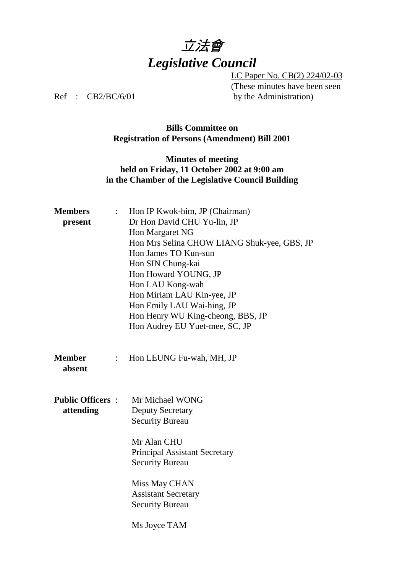

LC Paper No. CB(2) 224/02-03 (These minutes have been seen Ref : CB2/BC/6/01 by the Administration)

## **Bills Committee on Registration of Persons (Amendment) Bill 2001**

## **Minutes of meeting held on Friday, 11 October 2002 at 9:00 am in the Chamber of the Legislative Council Building**

| <b>Members</b><br>present            | $\mathbb{R}^{\mathbb{Z}}$ | Hon IP Kwok-him, JP (Chairman)<br>Dr Hon David CHU Yu-lin, JP<br>Hon Margaret NG<br>Hon Mrs Selina CHOW LIANG Shuk-yee, GBS, JP<br>Hon James TO Kun-sun<br>Hon SIN Chung-kai<br>Hon Howard YOUNG, JP<br>Hon LAU Kong-wah<br>Hon Miriam LAU Kin-yee, JP<br>Hon Emily LAU Wai-hing, JP<br>Hon Henry WU King-cheong, BBS, JP<br>Hon Audrey EU Yuet-mee, SC, JP |
|--------------------------------------|---------------------------|-------------------------------------------------------------------------------------------------------------------------------------------------------------------------------------------------------------------------------------------------------------------------------------------------------------------------------------------------------------|
| <b>Member</b><br>absent              | $\ddot{\cdot}$            | Hon LEUNG Fu-wah, MH, JP                                                                                                                                                                                                                                                                                                                                    |
| <b>Public Officers:</b><br>attending |                           | Mr Michael WONG<br><b>Deputy Secretary</b><br><b>Security Bureau</b><br>Mr Alan CHU<br><b>Principal Assistant Secretary</b><br><b>Security Bureau</b><br>Miss May CHAN<br><b>Assistant Secretary</b><br><b>Security Bureau</b><br>Ms Joyce TAM                                                                                                              |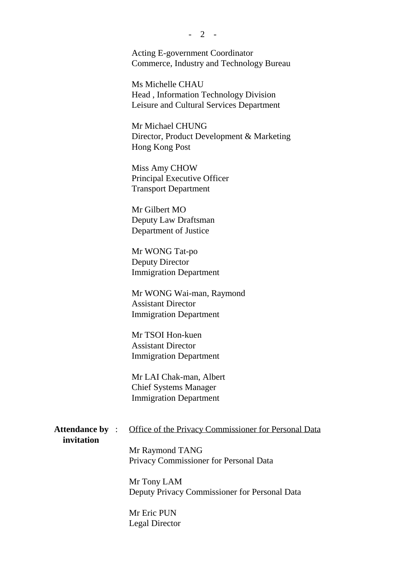Acting E-government Coordinator Commerce, Industry and Technology Bureau

Ms Michelle CHAU Head , Information Technology Division Leisure and Cultural Services Department

Mr Michael CHUNG Director, Product Development & Marketing Hong Kong Post

Miss Amy CHOW Principal Executive Officer Transport Department

Mr Gilbert MO Deputy Law Draftsman Department of Justice

Mr WONG Tat-po Deputy Director Immigration Department

Mr WONG Wai-man, Raymond Assistant Director Immigration Department

Mr TSOI Hon-kuen Assistant Director Immigration Department

Mr LAI Chak-man, Albert Chief Systems Manager Immigration Department

 **invitation**

Attendance by : Office of the Privacy Commissioner for Personal Data

Mr Raymond TANG Privacy Commissioner for Personal Data

Mr Tony LAM Deputy Privacy Commissioner for Personal Data

Mr Eric PUN Legal Director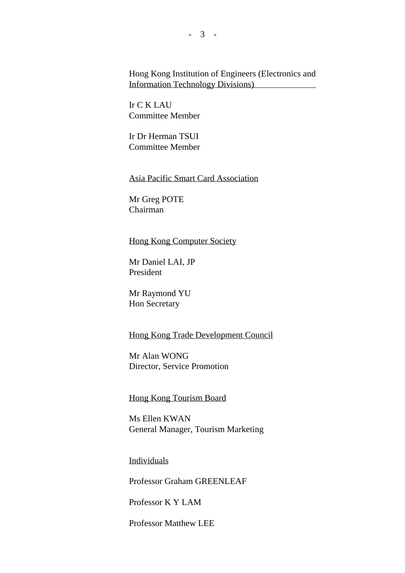Hong Kong Institution of Engineers (Electronics and Information Technology Divisions)

Ir C K LAU Committee Member

Ir Dr Herman TSUI Committee Member

Asia Pacific Smart Card Association

Mr Greg POTE Chairman

### Hong Kong Computer Society

Mr Daniel LAI, JP President

Mr Raymond YU Hon Secretary

## Hong Kong Trade Development Council

Mr Alan WONG Director, Service Promotion

#### Hong Kong Tourism Board

Ms Ellen KWAN General Manager, Tourism Marketing

Individuals

Professor Graham GREENLEAF

Professor K Y LAM

Professor Matthew LEE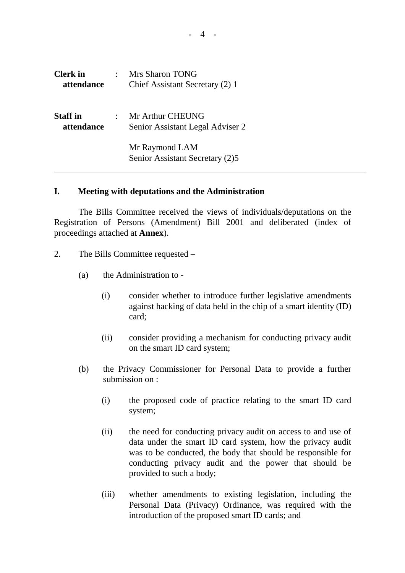| <b>Clerk</b> in<br>attendance | Mrs Sharon TONG<br>Chief Assistant Secretary (2) 1   |
|-------------------------------|------------------------------------------------------|
| <b>Staff</b> in<br>attendance | Mr Arthur CHEUNG<br>Senior Assistant Legal Adviser 2 |
|                               | Mr Raymond LAM<br>Senior Assistant Secretary (2)5    |

## **I. Meeting with deputations and the Administration**

The Bills Committee received the views of individuals/deputations on the Registration of Persons (Amendment) Bill 2001 and deliberated (index of proceedings attached at **Annex**).

- 2. The Bills Committee requested
	- (a) the Administration to
		- (i) consider whether to introduce further legislative amendments against hacking of data held in the chip of a smart identity (ID) card;
		- (ii) consider providing a mechanism for conducting privacy audit on the smart ID card system;
	- (b) the Privacy Commissioner for Personal Data to provide a further submission on :
		- (i) the proposed code of practice relating to the smart ID card system;
		- (ii) the need for conducting privacy audit on access to and use of data under the smart ID card system, how the privacy audit was to be conducted, the body that should be responsible for conducting privacy audit and the power that should be provided to such a body;
		- (iii) whether amendments to existing legislation, including the Personal Data (Privacy) Ordinance, was required with the introduction of the proposed smart ID cards; and

 $-4$  -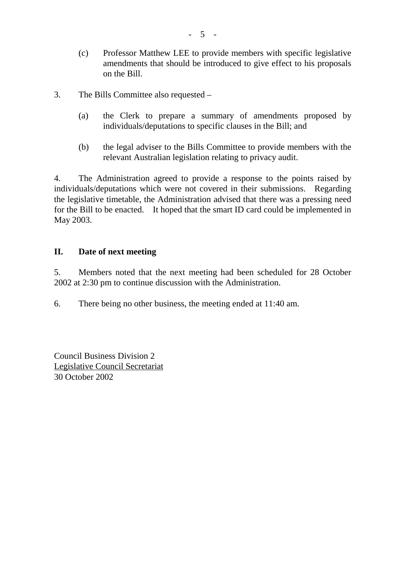- (c) Professor Matthew LEE to provide members with specific legislative amendments that should be introduced to give effect to his proposals on the Bill.
- 3. The Bills Committee also requested
	- (a) the Clerk to prepare a summary of amendments proposed by individuals/deputations to specific clauses in the Bill; and
	- (b) the legal adviser to the Bills Committee to provide members with the relevant Australian legislation relating to privacy audit.

4. The Administration agreed to provide a response to the points raised by individuals/deputations which were not covered in their submissions. Regarding the legislative timetable, the Administration advised that there was a pressing need for the Bill to be enacted. It hoped that the smart ID card could be implemented in May 2003.

# **II. Date of next meeting**

5. Members noted that the next meeting had been scheduled for 28 October 2002 at 2:30 pm to continue discussion with the Administration.

6. There being no other business, the meeting ended at 11:40 am.

Council Business Division 2 Legislative Council Secretariat 30 October 2002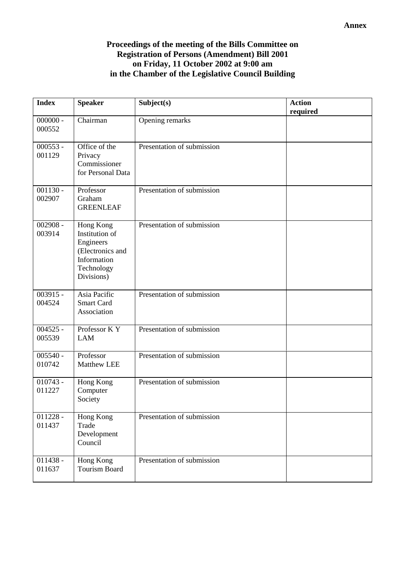# **Proceedings of the meeting of the Bills Committee on Registration of Persons (Amendment) Bill 2001 on Friday, 11 October 2002 at 9:00 am in the Chamber of the Legislative Council Building**

| <b>Index</b>         | <b>Speaker</b>                                                                                          | Subject(s)                 | <b>Action</b><br>required |
|----------------------|---------------------------------------------------------------------------------------------------------|----------------------------|---------------------------|
| $000000 -$<br>000552 | Chairman                                                                                                | Opening remarks            |                           |
| $000553 -$<br>001129 | Office of the<br>Privacy<br>Commissioner<br>for Personal Data                                           | Presentation of submission |                           |
| $001130 -$<br>002907 | Professor<br>Graham<br><b>GREENLEAF</b>                                                                 | Presentation of submission |                           |
| $002908 -$<br>003914 | Hong Kong<br>Institution of<br>Engineers<br>(Electronics and<br>Information<br>Technology<br>Divisions) | Presentation of submission |                           |
| $003915 -$<br>004524 | Asia Pacific<br><b>Smart Card</b><br>Association                                                        | Presentation of submission |                           |
| $004525 -$<br>005539 | Professor KY<br><b>LAM</b>                                                                              | Presentation of submission |                           |
| $005540 -$<br>010742 | Professor<br><b>Matthew LEE</b>                                                                         | Presentation of submission |                           |
| $010743 -$<br>011227 | Hong Kong<br>Computer<br>Society                                                                        | Presentation of submission |                           |
| $011228 -$<br>011437 | Hong Kong<br>Trade<br>Development<br>Council                                                            | Presentation of submission |                           |
| $011438 -$<br>011637 | Hong Kong<br><b>Tourism Board</b>                                                                       | Presentation of submission |                           |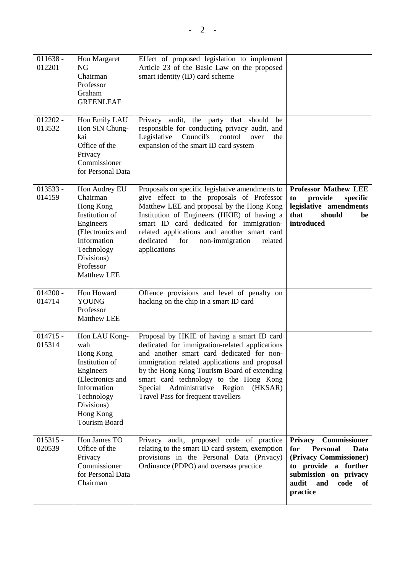| $011638 -$<br>012201 | Hon Margaret<br><b>NG</b><br>Chairman<br>Professor<br>Graham<br><b>GREENLEAF</b>                                                                                        | Effect of proposed legislation to implement<br>Article 23 of the Basic Law on the proposed<br>smart identity (ID) card scheme                                                                                                                                                                                                                                          |                                                                                                                                                                                              |
|----------------------|-------------------------------------------------------------------------------------------------------------------------------------------------------------------------|------------------------------------------------------------------------------------------------------------------------------------------------------------------------------------------------------------------------------------------------------------------------------------------------------------------------------------------------------------------------|----------------------------------------------------------------------------------------------------------------------------------------------------------------------------------------------|
| $012202 -$<br>013532 | Hon Emily LAU<br>Hon SIN Chung-<br>kai<br>Office of the<br>Privacy<br>Commissioner<br>for Personal Data                                                                 | Privacy audit, the party that should<br>be<br>responsible for conducting privacy audit, and<br>Council's<br>Legislative<br>control<br>the<br>over<br>expansion of the smart ID card system                                                                                                                                                                             |                                                                                                                                                                                              |
| $013533 -$<br>014159 | Hon Audrey EU<br>Chairman<br>Hong Kong<br>Institution of<br>Engineers<br>(Electronics and<br>Information<br>Technology<br>Divisions)<br>Professor<br><b>Matthew LEE</b> | Proposals on specific legislative amendments to<br>give effect to the proposals of Professor<br>Matthew LEE and proposal by the Hong Kong<br>Institution of Engineers (HKIE) of having a<br>smart ID card dedicated for immigration-<br>related applications and another smart card<br>dedicated<br>for<br>non-immigration<br>related<br>applications                  | <b>Professor Mathew LEE</b><br>provide<br>specific<br>to<br>legislative amendments<br>should<br>that<br>be<br>introduced                                                                     |
| $014200 -$<br>014714 | Hon Howard<br><b>YOUNG</b><br>Professor<br><b>Matthew LEE</b>                                                                                                           | Offence provisions and level of penalty on<br>hacking on the chip in a smart ID card                                                                                                                                                                                                                                                                                   |                                                                                                                                                                                              |
| $014715 -$<br>015314 | Hon LAU Kong-<br>wah<br>Hong Kong<br>Institution of<br>Engineers<br>(Electronics and<br>Information<br>Technology<br>Divisions)<br>Hong Kong<br><b>Tourism Board</b>    | Proposal by HKIE of having a smart ID card<br>dedicated for immigration-related applications<br>and another smart card dedicated for non-<br>immigration related applications and proposal<br>by the Hong Kong Tourism Board of extending<br>smart card technology to the Hong Kong<br>Special Administrative Region<br>(HKSAR)<br>Travel Pass for frequent travellers |                                                                                                                                                                                              |
| $015315 -$<br>020539 | Hon James TO<br>Office of the<br>Privacy<br>Commissioner<br>for Personal Data<br>Chairman                                                                               | Privacy audit, proposed code of practice<br>relating to the smart ID card system, exemption<br>provisions in the Personal Data (Privacy)<br>Ordinance (PDPO) and overseas practice                                                                                                                                                                                     | <b>Commissioner</b><br><b>Privacy</b><br>for<br><b>Personal</b><br>Data<br>(Privacy Commissioner)<br>to provide a further<br>submission on privacy<br>audit<br>and<br>code<br>of<br>practice |